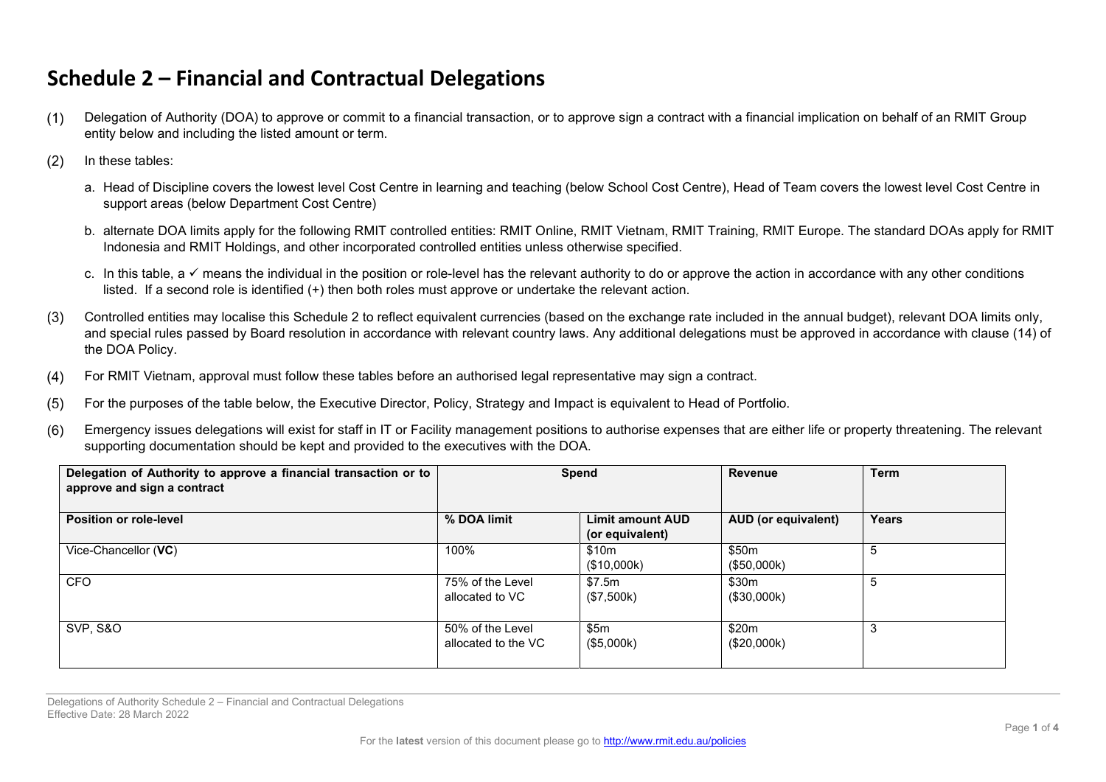## **Schedule 2 – Financial and Contractual Delegations**

- $(1)$ Delegation of Authority (DOA) to approve or commit to a financial transaction, or to approve sign a contract with a financial implication on behalf of an RMIT Group entity below and including the listed amount or term.
- $(2)$ In these tables:
	- a. Head of Discipline covers the lowest level Cost Centre in learning and teaching (below School Cost Centre), Head of Team covers the lowest level Cost Centre in support areas (below Department Cost Centre)
	- b. alternate DOA limits apply for the following RMIT controlled entities: RMIT Online, RMIT Vietnam, RMIT Training, RMIT Europe. The standard DOAs apply for RMIT Indonesia and RMIT Holdings, and other incorporated controlled entities unless otherwise specified.
	- c. In this table, a  $\checkmark$  means the individual in the position or role-level has the relevant authority to do or approve the action in accordance with any other conditions listed. If a second role is identified (+) then both roles must approve or undertake the relevant action.
- Controlled entities may localise this Schedule 2 to reflect equivalent currencies (based on the exchange rate included in the annual budget), relevant DOA limits only,  $(3)$ and special rules passed by Board resolution in accordance with relevant country laws. Any additional delegations must be approved in accordance with clause (14) of the DOA Policy.
- $(4)$ For RMIT Vietnam, approval must follow these tables before an authorised legal representative may sign a contract.
- For the purposes of the table below, the Executive Director, Policy, Strategy and Impact is equivalent to Head of Portfolio.  $(5)$
- Emergency issues delegations will exist for staff in IT or Facility management positions to authorise expenses that are either life or property threatening. The relevant  $(6)$ supporting documentation should be kept and provided to the executives with the DOA.

| Delegation of Authority to approve a financial transaction or to<br>approve and sign a contract |                                         | Spend                                      | <b>Revenue</b>       | <b>Term</b>  |
|-------------------------------------------------------------------------------------------------|-----------------------------------------|--------------------------------------------|----------------------|--------------|
| <b>Position or role-level</b>                                                                   | % DOA limit                             | <b>Limit amount AUD</b><br>(or equivalent) | AUD (or equivalent)  | <b>Years</b> |
| Vice-Chancellor (VC)                                                                            | 100%                                    | \$10m<br>(\$10,000k)                       | \$50m<br>(\$50,000k) | -5           |
| <b>CFO</b>                                                                                      | 75% of the Level<br>allocated to VC     | \$7.5m<br>(\$7,500k)                       | \$30m<br>(\$30,000k) | 5            |
| <b>SVP, S&amp;O</b>                                                                             | 50% of the Level<br>allocated to the VC | \$5m<br>(\$5,000k)                         | \$20m<br>(\$20,000k) | 3            |

Delegations of Authority Schedule 2 – Financial and Contractual Delegations Effective Date: 28 March 2022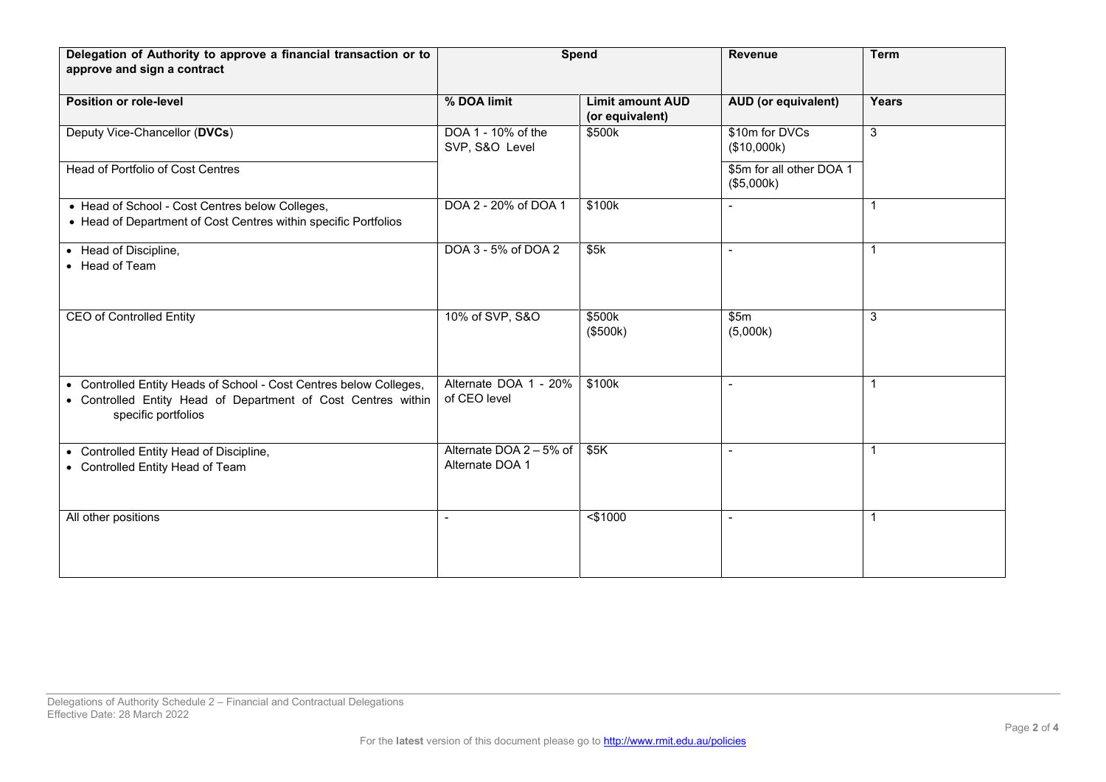| Delegation of Authority to approve a financial transaction or to<br>approve and sign a contract                                                            | Spend                                      |                                            | <b>Revenue</b>                         | <b>Term</b>  |
|------------------------------------------------------------------------------------------------------------------------------------------------------------|--------------------------------------------|--------------------------------------------|----------------------------------------|--------------|
| <b>Position or role-level</b>                                                                                                                              | % DOA limit                                | <b>Limit amount AUD</b><br>(or equivalent) | <b>AUD</b> (or equivalent)             | Years        |
| Deputy Vice-Chancellor (DVCs)                                                                                                                              | DOA 1 - 10% of the<br>SVP, S&O Level       | \$500k                                     | \$10m for DVCs<br>(\$10,000k)          | $\mathbf{3}$ |
| <b>Head of Portfolio of Cost Centres</b>                                                                                                                   |                                            |                                            | \$5m for all other DOA 1<br>(\$5,000k) |              |
| • Head of School - Cost Centres below Colleges,<br>• Head of Department of Cost Centres within specific Portfolios                                         | DOA 2 - 20% of DOA 1                       | \$100k                                     |                                        | $\mathbf{1}$ |
| • Head of Discipline,<br>• Head of Team                                                                                                                    | DOA 3 - 5% of DOA 2                        | \$5k                                       |                                        | $\mathbf{1}$ |
| <b>CEO of Controlled Entity</b>                                                                                                                            | 10% of SVP, S&O                            | \$500k<br>(\$500k)                         | \$5m<br>(5,000k)                       | 3            |
| • Controlled Entity Heads of School - Cost Centres below Colleges,<br>• Controlled Entity Head of Department of Cost Centres within<br>specific portfolios | Alternate DOA 1 - 20%<br>of CEO level      | \$100k                                     |                                        | $\mathbf{1}$ |
| • Controlled Entity Head of Discipline,<br>• Controlled Entity Head of Team                                                                                | Alternate DOA 2 - 5% of<br>Alternate DOA 1 | \$5K                                       |                                        | $\mathbf{1}$ |
| All other positions                                                                                                                                        | $\sim$                                     | $<$ \$1000                                 |                                        | $\mathbf{1}$ |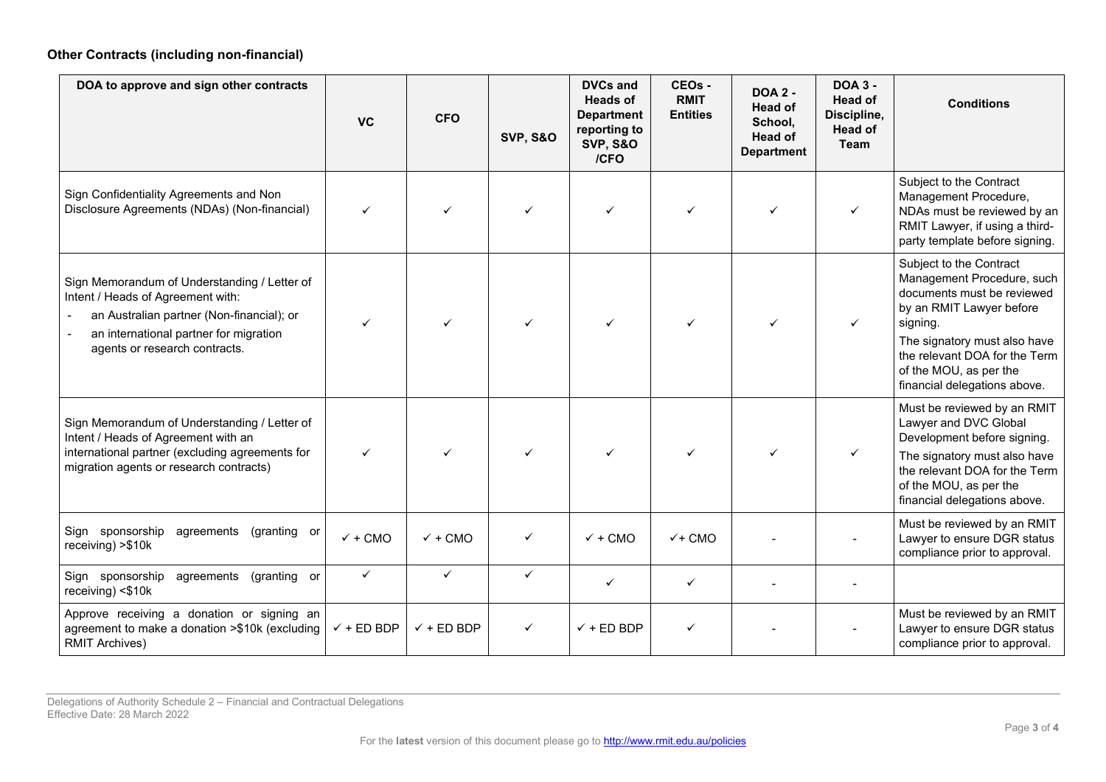## **Other Contracts (including non-financial)**

| DOA to approve and sign other contracts                                                                                                                                                                   | <b>VC</b>             | <b>CFO</b>            | <b>SVP, S&amp;O</b> | <b>DVCs and</b><br><b>Heads of</b><br><b>Department</b><br>reporting to<br><b>SVP, S&amp;O</b><br>/CFO | CEOs -<br><b>RMIT</b><br><b>Entities</b> | <b>DOA 2 -</b><br><b>Head of</b><br>School,<br>Head of<br><b>Department</b> | <b>DOA 3 -</b><br><b>Head of</b><br>Discipline,<br><b>Head of</b><br>Team | <b>Conditions</b>                                                                                                                                                                                                                                      |
|-----------------------------------------------------------------------------------------------------------------------------------------------------------------------------------------------------------|-----------------------|-----------------------|---------------------|--------------------------------------------------------------------------------------------------------|------------------------------------------|-----------------------------------------------------------------------------|---------------------------------------------------------------------------|--------------------------------------------------------------------------------------------------------------------------------------------------------------------------------------------------------------------------------------------------------|
| Sign Confidentiality Agreements and Non<br>Disclosure Agreements (NDAs) (Non-financial)                                                                                                                   | ✓                     |                       |                     | ✓                                                                                                      | ✓                                        | ✓                                                                           | $\checkmark$                                                              | Subject to the Contract<br>Management Procedure,<br>NDAs must be reviewed by an<br>RMIT Lawyer, if using a third-<br>party template before signing.                                                                                                    |
| Sign Memorandum of Understanding / Letter of<br>Intent / Heads of Agreement with:<br>an Australian partner (Non-financial); or<br>an international partner for migration<br>agents or research contracts. |                       |                       |                     |                                                                                                        |                                          |                                                                             | $\checkmark$                                                              | Subject to the Contract<br>Management Procedure, such<br>documents must be reviewed<br>by an RMIT Lawyer before<br>signing.<br>The signatory must also have<br>the relevant DOA for the Term<br>of the MOU, as per the<br>financial delegations above. |
| Sign Memorandum of Understanding / Letter of<br>Intent / Heads of Agreement with an<br>international partner (excluding agreements for<br>migration agents or research contracts)                         | ✓                     | ✓                     |                     |                                                                                                        | ✓                                        | ✓                                                                           | ✓                                                                         | Must be reviewed by an RMIT<br>Lawyer and DVC Global<br>Development before signing.<br>The signatory must also have<br>the relevant DOA for the Term<br>of the MOU, as per the<br>financial delegations above.                                         |
| Sign sponsorship<br>agreements<br>(granting or<br>receiving) > \$10k                                                                                                                                      | $\checkmark$ + CMO    | $\checkmark$ + CMO    | ✓                   | $\checkmark$ + CMO                                                                                     | $V + CMO$                                |                                                                             |                                                                           | Must be reviewed by an RMIT<br>Lawyer to ensure DGR status<br>compliance prior to approval.                                                                                                                                                            |
| Sign sponsorship<br>agreements<br>(granting or<br>receiving) <\$10k                                                                                                                                       | $\checkmark$          | $\checkmark$          | ✓                   | ✓                                                                                                      | ✓                                        |                                                                             |                                                                           |                                                                                                                                                                                                                                                        |
| Approve receiving a donation or signing an<br>agreement to make a donation >\$10k (excluding<br><b>RMIT Archives)</b>                                                                                     | $\checkmark$ + ED BDP | $\checkmark$ + ED BDP | ✓                   | $\checkmark$ + ED BDP                                                                                  | ✓                                        |                                                                             |                                                                           | Must be reviewed by an RMIT<br>Lawyer to ensure DGR status<br>compliance prior to approval.                                                                                                                                                            |

Delegations of Authority Schedule 2 – Financial and Contractual Delegations Effective Date: 28 March 2022